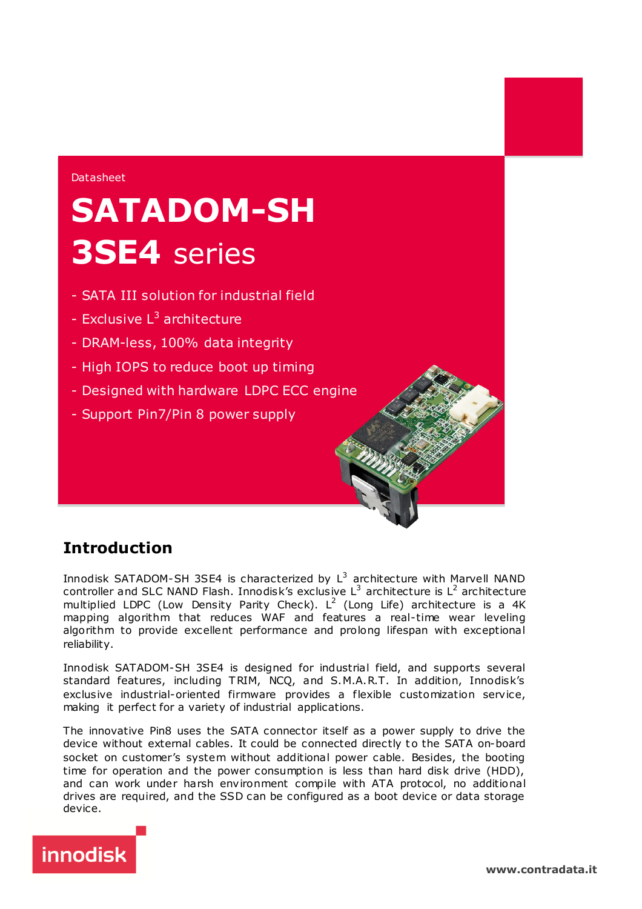#### Datasheet

## **SATADOM-SH 3SE4** series

- SATA III solution for industrial field
- Exclusive  $L^3$  architecture
- DRAM-less, 100% data integrity
- High IOPS to reduce boot up timing
- Designed with hardware LDPC ECC engine
- Support Pin7/Pin 8 power supply

### **Introduction**

Innodisk SATADOM-SH 3SE4 is characterized by  $\mathsf{L}^3$  architecture with Marvell <code>NAND</code> controller and SLC NAND Flash. Innodisk's exclusive  $L^3$  architecture is  $L^2$  architecture multiplied LDPC (Low Density Parity Check). L<sup>2</sup> (Long Life) architecture is a 4K mapping algorithm that reduces WAF and features a real-time wear leveling algorithm to provide excellent performance and prolong lifespan with exceptional reliability.

Innodisk SATADOM-SH 3SE4 is designed for industrial field, and supports several standard features, including T RIM, NCQ, and S.M.A.R.T. In addition, Innodisk's exclusive industrial-oriented firmware provides a flexible customization service, making it perfect for a variety of industrial applications.

The innovative Pin8 uses the SATA connector itself as a power supply to drive the device without external cables. It could be connected directly to the SATA on-board socket on customer's system without additional power cable. Besides, the booting time for operation and the power consumption is less than hard disk drive (HDD), and can work under harsh environment compile with ATA protocol, no additional drives are required, and the SSD can be configured as a boot device or data storage device.